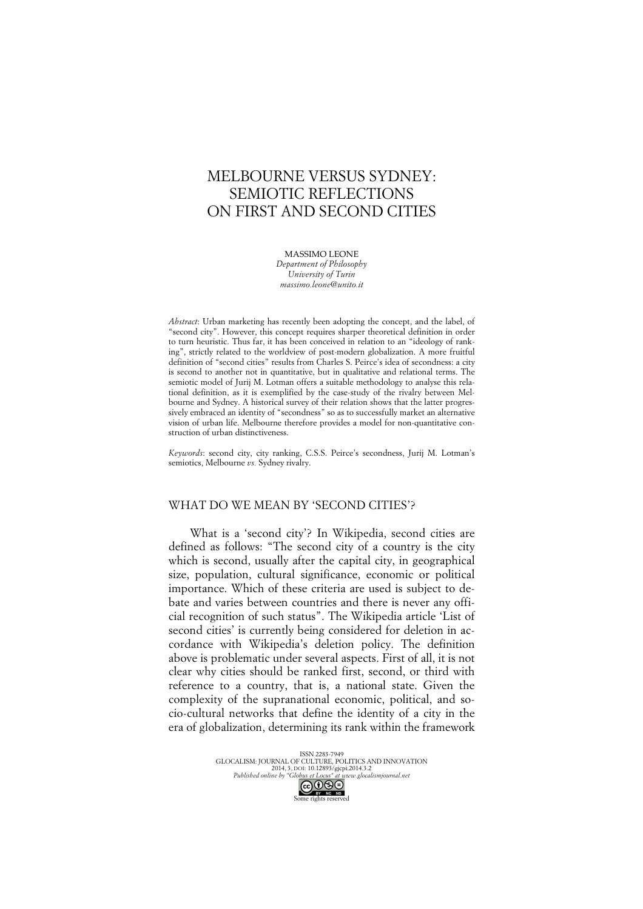# MELBOURNE VERSUS SYDNEY: SEMIOTIC REFLECTIONS ON FIRST AND SECOND CITIES

MASSIMO LEONE *Department of Philosophy University of Turin massimo.leone@unito.it*

*Abstract*: Urban marketing has recently been adopting the concept, and the label, of "second city". However, this concept requires sharper theoretical definition in order to turn heuristic. Thus far, it has been conceived in relation to an "ideology of ranking", strictly related to the worldview of post-modern globalization. A more fruitful definition of "second cities" results from Charles S. Peirce's idea of secondness: a city is second to another not in quantitative, but in qualitative and relational terms. The semiotic model of Jurij M. Lotman offers a suitable methodology to analyse this relational definition, as it is exemplified by the case-study of the rivalry between Melbourne and Sydney. A historical survey of their relation shows that the latter progressively embraced an identity of "secondness" so as to successfully market an alternative vision of urban life. Melbourne therefore provides a model for non-quantitative construction of urban distinctiveness.

*Keywords*: second city, city ranking, C.S.S. Peirce's secondness, Jurij M. Lotman's semiotics, Melbourne *vs.* Sydney rivalry.

## WHAT DO WE MEAN BY 'SECOND CITIES'?

What is a 'second city'? In Wikipedia, second cities are defined as follows: "The second city of a country is the city which is second, usually after the capital city, in geographical size, population, cultural significance, economic or political importance. Which of these criteria are used is subject to debate and varies between countries and there is never any official recognition of such status". The Wikipedia article 'List of second cities' is currently being considered for deletion in accordance with Wikipedia's deletion policy. The definition above is problematic under several aspects. First of all, it is not clear why cities should be ranked first, second, or third with reference to a country, that is, a national state. Given the complexity of the supranational economic, political, and socio-cultural networks that define the identity of a city in the era of globalization, determining its rank within the framework

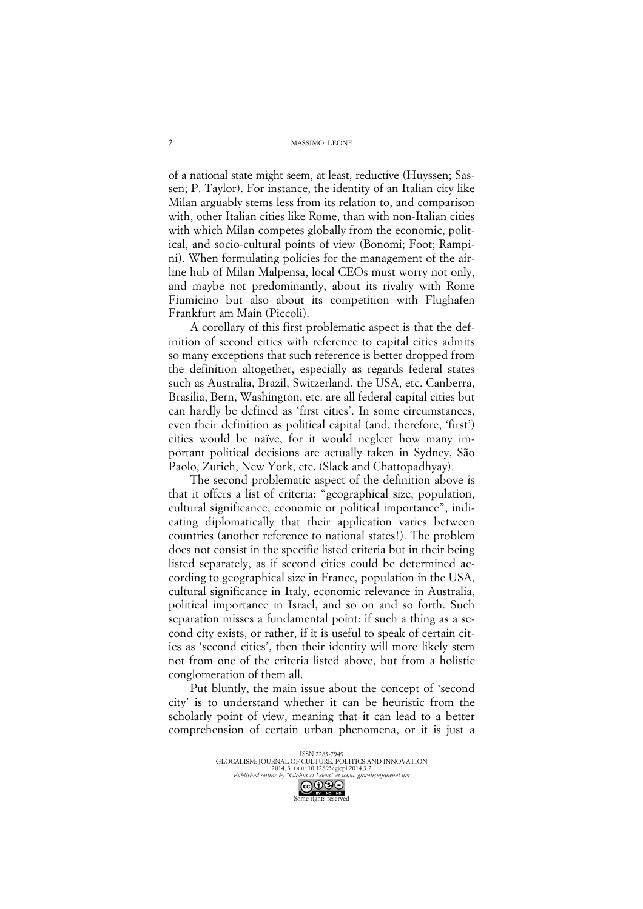of a national state might seem, at least, reductive (Huyssen; Sassen; P. Taylor). For instance, the identity of an Italian city like Milan arguably stems less from its relation to, and comparison with, other Italian cities like Rome, than with non-Italian cities with which Milan competes globally from the economic, political, and socio-cultural points of view (Bonomi; Foot; Rampini). When formulating policies for the management of the airline hub of Milan Malpensa, local CEOs must worry not only, and maybe not predominantly, about its rivalry with Rome Fiumicino but also about its competition with Flughafen Frankfurt am Main (Piccoli).

A corollary of this first problematic aspect is that the definition of second cities with reference to capital cities admits so many exceptions that such reference is better dropped from the definition altogether, especially as regards federal states such as Australia, Brazil, Switzerland, the USA, etc. Canberra, Brasilia, Bern, Washington, etc. are all federal capital cities but can hardly be defined as 'first cities'. In some circumstances, even their definition as political capital (and, therefore, 'first') cities would be naïve, for it would neglect how many important political decisions are actually taken in Sydney, São Paolo, Zurich, New York, etc. (Slack and Chattopadhyay).

The second problematic aspect of the definition above is that it offers a list of criteria: "geographical size, population, cultural significance, economic or political importance", indicating diplomatically that their application varies between countries (another reference to national states!). The problem does not consist in the specific listed criteria but in their being listed separately, as if second cities could be determined according to geographical size in France, population in the USA, cultural significance in Italy, economic relevance in Australia, political importance in Israel, and so on and so forth. Such separation misses a fundamental point: if such a thing as a second city exists, or rather, if it is useful to speak of certain cities as 'second cities', then their identity will more likely stem not from one of the criteria listed above, but from a holistic conglomeration of them all.

Put bluntly, the main issue about the concept of 'second city' is to understand whether it can be heuristic from the scholarly point of view, meaning that it can lead to a better comprehension of certain urban phenomena, or it is just a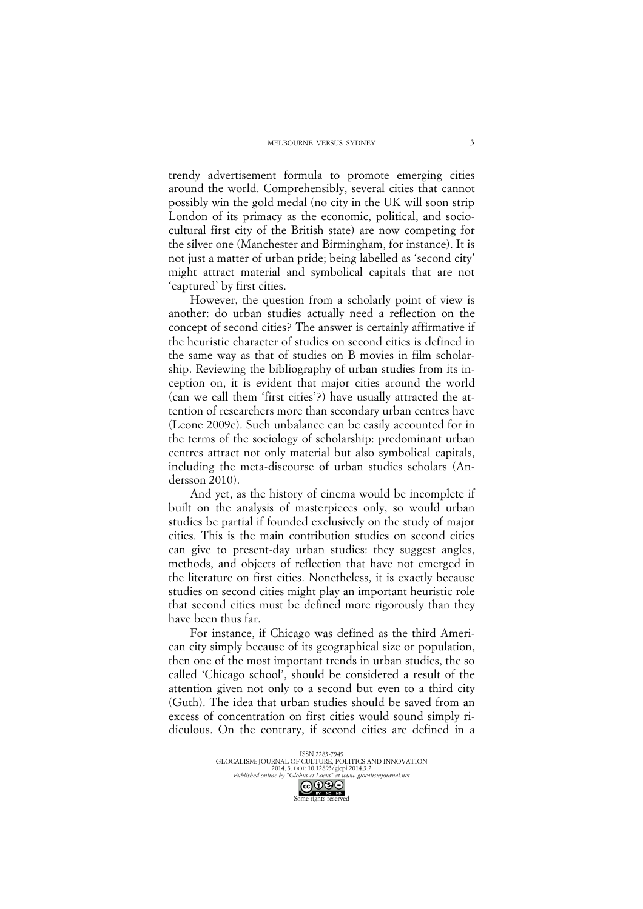trendy advertisement formula to promote emerging cities around the world. Comprehensibly, several cities that cannot possibly win the gold medal (no city in the UK will soon strip London of its primacy as the economic, political, and sociocultural first city of the British state) are now competing for the silver one (Manchester and Birmingham, for instance). It is not just a matter of urban pride; being labelled as 'second city' might attract material and symbolical capitals that are not 'captured' by first cities.

However, the question from a scholarly point of view is another: do urban studies actually need a reflection on the concept of second cities? The answer is certainly affirmative if the heuristic character of studies on second cities is defined in the same way as that of studies on B movies in film scholarship. Reviewing the bibliography of urban studies from its inception on, it is evident that major cities around the world (can we call them 'first cities'?) have usually attracted the attention of researchers more than secondary urban centres have (Leone 2009c). Such unbalance can be easily accounted for in the terms of the sociology of scholarship: predominant urban centres attract not only material but also symbolical capitals, including the meta-discourse of urban studies scholars (Andersson 2010).

And yet, as the history of cinema would be incomplete if built on the analysis of masterpieces only, so would urban studies be partial if founded exclusively on the study of major cities. This is the main contribution studies on second cities can give to present-day urban studies: they suggest angles, methods, and objects of reflection that have not emerged in the literature on first cities. Nonetheless, it is exactly because studies on second cities might play an important heuristic role that second cities must be defined more rigorously than they have been thus far.

For instance, if Chicago was defined as the third American city simply because of its geographical size or population, then one of the most important trends in urban studies, the so called 'Chicago school', should be considered a result of the attention given not only to a second but even to a third city (Guth). The idea that urban studies should be saved from an excess of concentration on first cities would sound simply ridiculous. On the contrary, if second cities are defined in a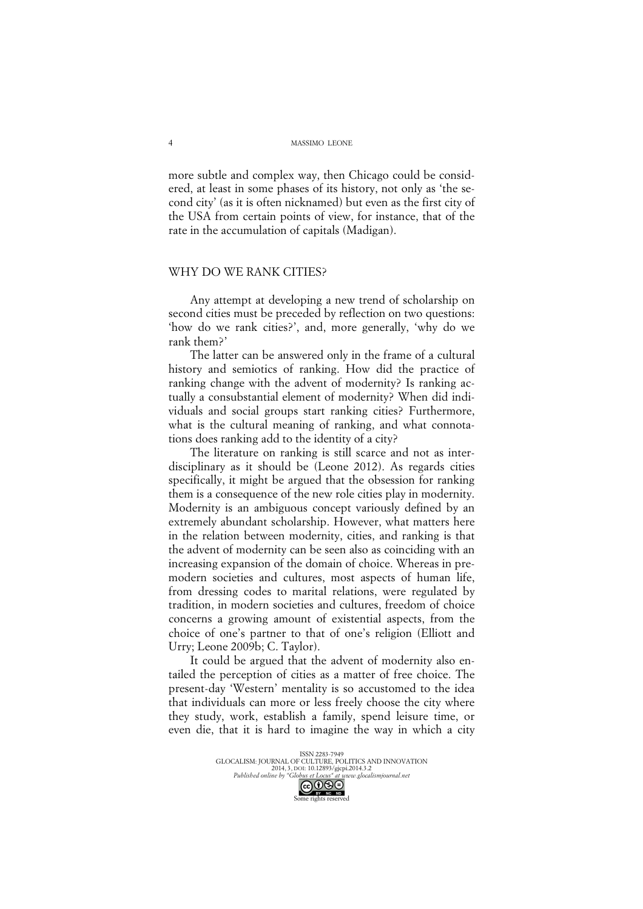more subtle and complex way, then Chicago could be considered, at least in some phases of its history, not only as 'the second city' (as it is often nicknamed) but even as the first city of the USA from certain points of view, for instance, that of the rate in the accumulation of capitals (Madigan).

#### WHY DO WE RANK CITIES?

Any attempt at developing a new trend of scholarship on second cities must be preceded by reflection on two questions: 'how do we rank cities?', and, more generally, 'why do we rank them?'

The latter can be answered only in the frame of a cultural history and semiotics of ranking. How did the practice of ranking change with the advent of modernity? Is ranking actually a consubstantial element of modernity? When did individuals and social groups start ranking cities? Furthermore, what is the cultural meaning of ranking, and what connotations does ranking add to the identity of a city?

The literature on ranking is still scarce and not as interdisciplinary as it should be (Leone 2012). As regards cities specifically, it might be argued that the obsession for ranking them is a consequence of the new role cities play in modernity. Modernity is an ambiguous concept variously defined by an extremely abundant scholarship. However, what matters here in the relation between modernity, cities, and ranking is that the advent of modernity can be seen also as coinciding with an increasing expansion of the domain of choice. Whereas in premodern societies and cultures, most aspects of human life, from dressing codes to marital relations, were regulated by tradition, in modern societies and cultures, freedom of choice concerns a growing amount of existential aspects, from the choice of one's partner to that of one's religion (Elliott and Urry; Leone 2009b; C. Taylor).

It could be argued that the advent of modernity also entailed the perception of cities as a matter of free choice. The present-day 'Western' mentality is so accustomed to the idea that individuals can more or less freely choose the city where they study, work, establish a family, spend leisure time, or even die, that it is hard to imagine the way in which a city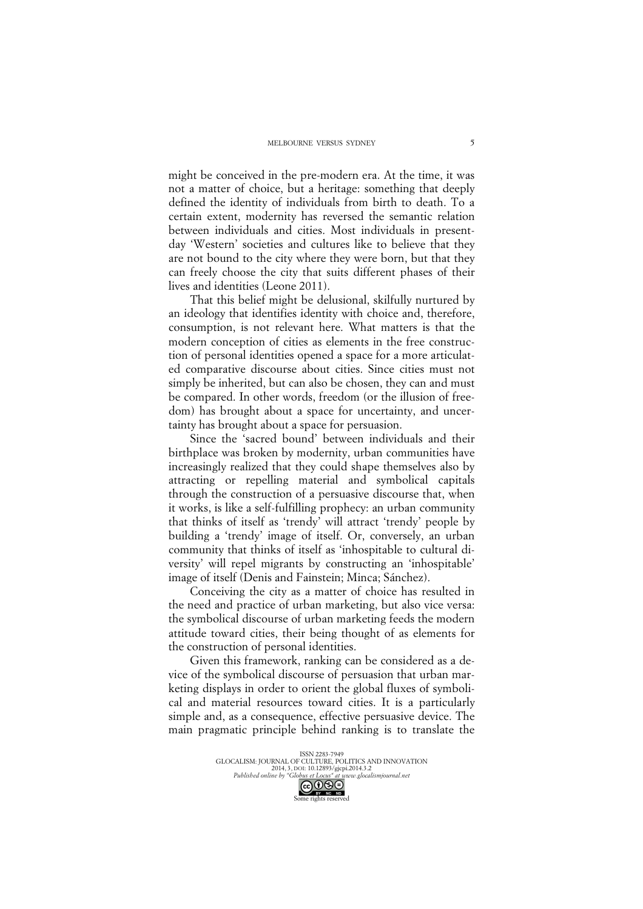might be conceived in the pre-modern era. At the time, it was not a matter of choice, but a heritage: something that deeply defined the identity of individuals from birth to death. To a certain extent, modernity has reversed the semantic relation between individuals and cities. Most individuals in presentday 'Western' societies and cultures like to believe that they are not bound to the city where they were born, but that they can freely choose the city that suits different phases of their lives and identities (Leone 2011).

That this belief might be delusional, skilfully nurtured by an ideology that identifies identity with choice and, therefore, consumption, is not relevant here. What matters is that the modern conception of cities as elements in the free construction of personal identities opened a space for a more articulated comparative discourse about cities. Since cities must not simply be inherited, but can also be chosen, they can and must be compared. In other words, freedom (or the illusion of freedom) has brought about a space for uncertainty, and uncertainty has brought about a space for persuasion.

Since the 'sacred bound' between individuals and their birthplace was broken by modernity, urban communities have increasingly realized that they could shape themselves also by attracting or repelling material and symbolical capitals through the construction of a persuasive discourse that, when it works, is like a self-fulfilling prophecy: an urban community that thinks of itself as 'trendy' will attract 'trendy' people by building a 'trendy' image of itself. Or, conversely, an urban community that thinks of itself as 'inhospitable to cultural diversity' will repel migrants by constructing an 'inhospitable' image of itself (Denis and Fainstein; Minca; Sánchez).

Conceiving the city as a matter of choice has resulted in the need and practice of urban marketing, but also vice versa: the symbolical discourse of urban marketing feeds the modern attitude toward cities, their being thought of as elements for the construction of personal identities.

Given this framework, ranking can be considered as a device of the symbolical discourse of persuasion that urban marketing displays in order to orient the global fluxes of symbolical and material resources toward cities. It is a particularly simple and, as a consequence, effective persuasive device. The main pragmatic principle behind ranking is to translate the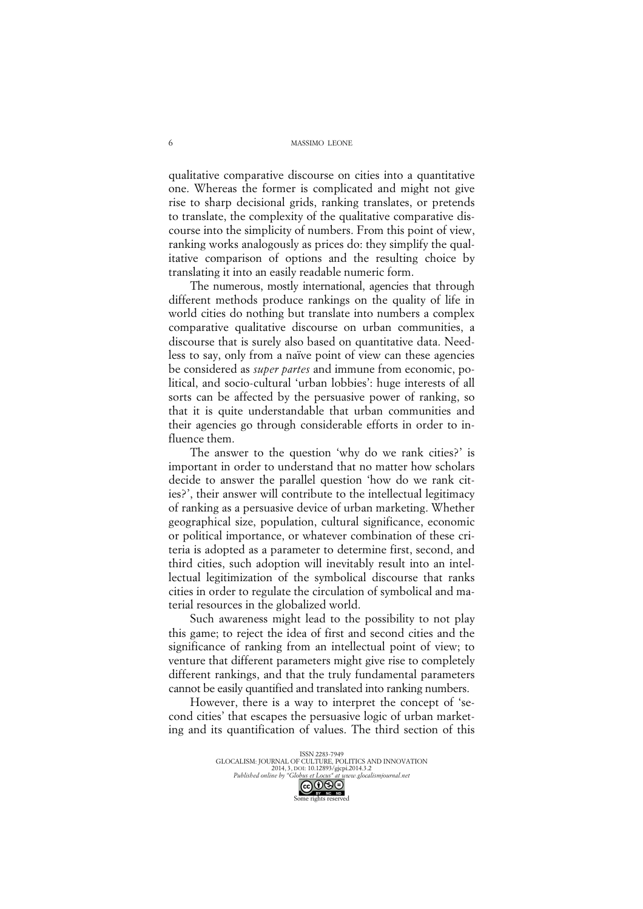qualitative comparative discourse on cities into a quantitative one. Whereas the former is complicated and might not give rise to sharp decisional grids, ranking translates, or pretends to translate, the complexity of the qualitative comparative discourse into the simplicity of numbers. From this point of view, ranking works analogously as prices do: they simplify the qualitative comparison of options and the resulting choice by translating it into an easily readable numeric form.

The numerous, mostly international, agencies that through different methods produce rankings on the quality of life in world cities do nothing but translate into numbers a complex comparative qualitative discourse on urban communities, a discourse that is surely also based on quantitative data. Needless to say, only from a naïve point of view can these agencies be considered as *super partes* and immune from economic, political, and socio-cultural 'urban lobbies': huge interests of all sorts can be affected by the persuasive power of ranking, so that it is quite understandable that urban communities and their agencies go through considerable efforts in order to influence them.

The answer to the question 'why do we rank cities?' is important in order to understand that no matter how scholars decide to answer the parallel question 'how do we rank cities?', their answer will contribute to the intellectual legitimacy of ranking as a persuasive device of urban marketing. Whether geographical size, population, cultural significance, economic or political importance, or whatever combination of these criteria is adopted as a parameter to determine first, second, and third cities, such adoption will inevitably result into an intellectual legitimization of the symbolical discourse that ranks cities in order to regulate the circulation of symbolical and material resources in the globalized world.

Such awareness might lead to the possibility to not play this game; to reject the idea of first and second cities and the significance of ranking from an intellectual point of view; to venture that different parameters might give rise to completely different rankings, and that the truly fundamental parameters cannot be easily quantified and translated into ranking numbers.

However, there is a way to interpret the concept of 'second cities' that escapes the persuasive logic of urban marketing and its quantification of values. The third section of this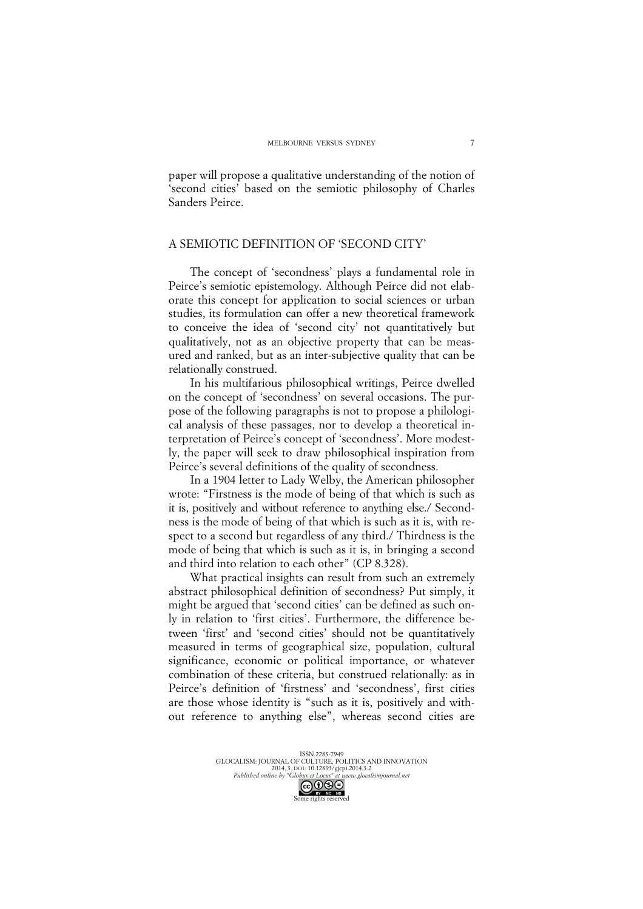7

paper will propose a qualitative understanding of the notion of 'second cities' based on the semiotic philosophy of Charles Sanders Peirce.

## A SEMIOTIC DEFINITION OF 'SECOND CITY'

The concept of 'secondness' plays a fundamental role in Peirce's semiotic epistemology. Although Peirce did not elaborate this concept for application to social sciences or urban studies, its formulation can offer a new theoretical framework to conceive the idea of 'second city' not quantitatively but qualitatively, not as an objective property that can be measured and ranked, but as an inter-subjective quality that can be relationally construed.

In his multifarious philosophical writings, Peirce dwelled on the concept of 'secondness' on several occasions. The purpose of the following paragraphs is not to propose a philological analysis of these passages, nor to develop a theoretical interpretation of Peirce's concept of 'secondness'. More modestly, the paper will seek to draw philosophical inspiration from Peirce's several definitions of the quality of secondness.

In a 1904 letter to Lady Welby, the American philosopher wrote: "Firstness is the mode of being of that which is such as it is, positively and without reference to anything else./ Secondness is the mode of being of that which is such as it is, with respect to a second but regardless of any third./ Thirdness is the mode of being that which is such as it is, in bringing a second and third into relation to each other" (CP 8.328).

What practical insights can result from such an extremely abstract philosophical definition of secondness? Put simply, it might be argued that 'second cities' can be defined as such only in relation to 'first cities'. Furthermore, the difference between 'first' and 'second cities' should not be quantitatively measured in terms of geographical size, population, cultural significance, economic or political importance, or whatever combination of these criteria, but construed relationally: as in Peirce's definition of 'firstness' and 'secondness', first cities are those whose identity is "such as it is, positively and without reference to anything else", whereas second cities are

ISSN 2283-7949 ISSIN 2263-1747<br>GLOCALISM: JOURNAL OF CULTURE, POLITICS AND INNOVATION 2014, 3, DOI: 10.12893/gjcpi.2014.3.2<br>Published online by "Globus et Locus" at www.glocal *Published online by "Globus et Locus" at www.glocalismjournal.net*

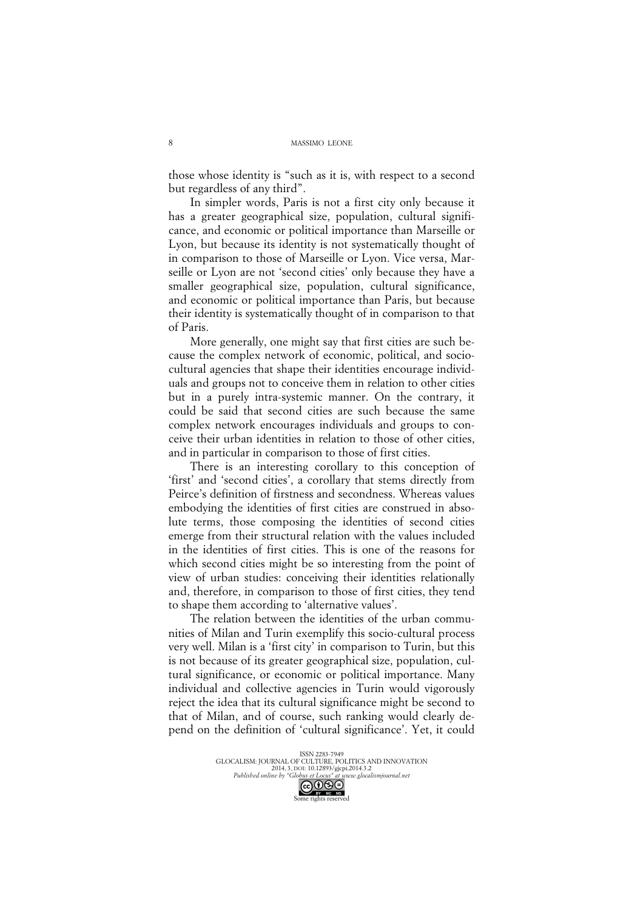those whose identity is "such as it is, with respect to a second but regardless of any third".

In simpler words, Paris is not a first city only because it has a greater geographical size, population, cultural significance, and economic or political importance than Marseille or Lyon, but because its identity is not systematically thought of in comparison to those of Marseille or Lyon. Vice versa, Marseille or Lyon are not 'second cities' only because they have a smaller geographical size, population, cultural significance, and economic or political importance than Paris, but because their identity is systematically thought of in comparison to that of Paris.

More generally, one might say that first cities are such because the complex network of economic, political, and sociocultural agencies that shape their identities encourage individuals and groups not to conceive them in relation to other cities but in a purely intra-systemic manner. On the contrary, it could be said that second cities are such because the same complex network encourages individuals and groups to conceive their urban identities in relation to those of other cities, and in particular in comparison to those of first cities.

There is an interesting corollary to this conception of 'first' and 'second cities', a corollary that stems directly from Peirce's definition of firstness and secondness. Whereas values embodying the identities of first cities are construed in absolute terms, those composing the identities of second cities emerge from their structural relation with the values included in the identities of first cities. This is one of the reasons for which second cities might be so interesting from the point of view of urban studies: conceiving their identities relationally and, therefore, in comparison to those of first cities, they tend to shape them according to 'alternative values'.

The relation between the identities of the urban communities of Milan and Turin exemplify this socio-cultural process very well. Milan is a 'first city' in comparison to Turin, but this is not because of its greater geographical size, population, cultural significance, or economic or political importance. Many individual and collective agencies in Turin would vigorously reject the idea that its cultural significance might be second to that of Milan, and of course, such ranking would clearly depend on the definition of 'cultural significance'. Yet, it could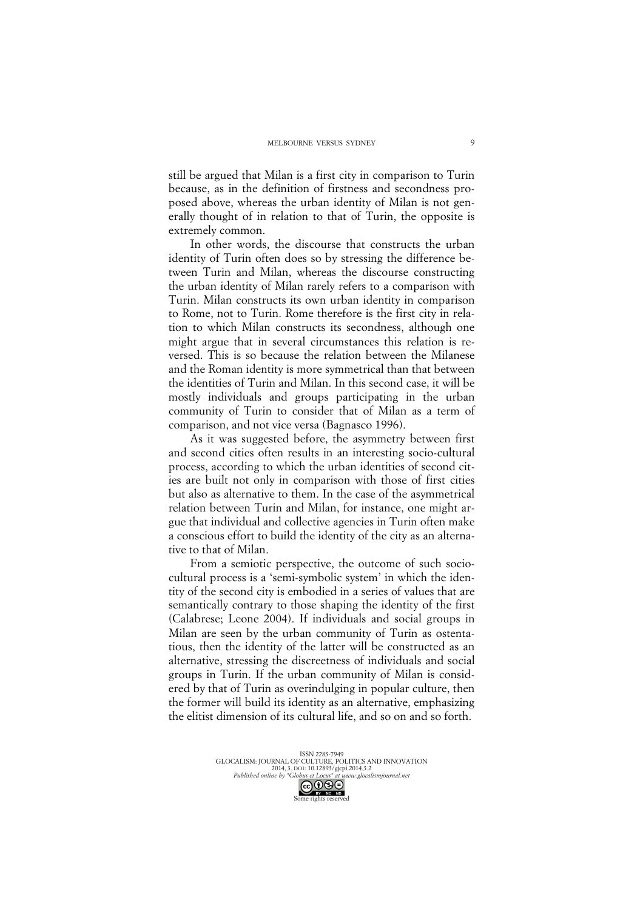still be argued that Milan is a first city in comparison to Turin because, as in the definition of firstness and secondness proposed above, whereas the urban identity of Milan is not generally thought of in relation to that of Turin, the opposite is extremely common.

In other words, the discourse that constructs the urban identity of Turin often does so by stressing the difference between Turin and Milan, whereas the discourse constructing the urban identity of Milan rarely refers to a comparison with Turin. Milan constructs its own urban identity in comparison to Rome, not to Turin. Rome therefore is the first city in relation to which Milan constructs its secondness, although one might argue that in several circumstances this relation is reversed. This is so because the relation between the Milanese and the Roman identity is more symmetrical than that between the identities of Turin and Milan. In this second case, it will be mostly individuals and groups participating in the urban community of Turin to consider that of Milan as a term of comparison, and not vice versa (Bagnasco 1996).

As it was suggested before, the asymmetry between first and second cities often results in an interesting socio-cultural process, according to which the urban identities of second cities are built not only in comparison with those of first cities but also as alternative to them. In the case of the asymmetrical relation between Turin and Milan, for instance, one might argue that individual and collective agencies in Turin often make a conscious effort to build the identity of the city as an alternative to that of Milan.

From a semiotic perspective, the outcome of such sociocultural process is a 'semi-symbolic system' in which the identity of the second city is embodied in a series of values that are semantically contrary to those shaping the identity of the first (Calabrese; Leone 2004). If individuals and social groups in Milan are seen by the urban community of Turin as ostentatious, then the identity of the latter will be constructed as an alternative, stressing the discreetness of individuals and social groups in Turin. If the urban community of Milan is considered by that of Turin as overindulging in popular culture, then the former will build its identity as an alternative, emphasizing the elitist dimension of its cultural life, and so on and so forth.

ISSN 2283-7949 ESSIN 2265-1747<br>GLOCALISM: JOURNAL OF CULTURE, POLITICS AND INNOVATION 2014, 3, DOI: 10.12893/gjcpi.2014.3.2<br>Published online by "Globus et Locus" at www.glocal *Published online by "Globus et Locus" at www.glocalismjournal.net*

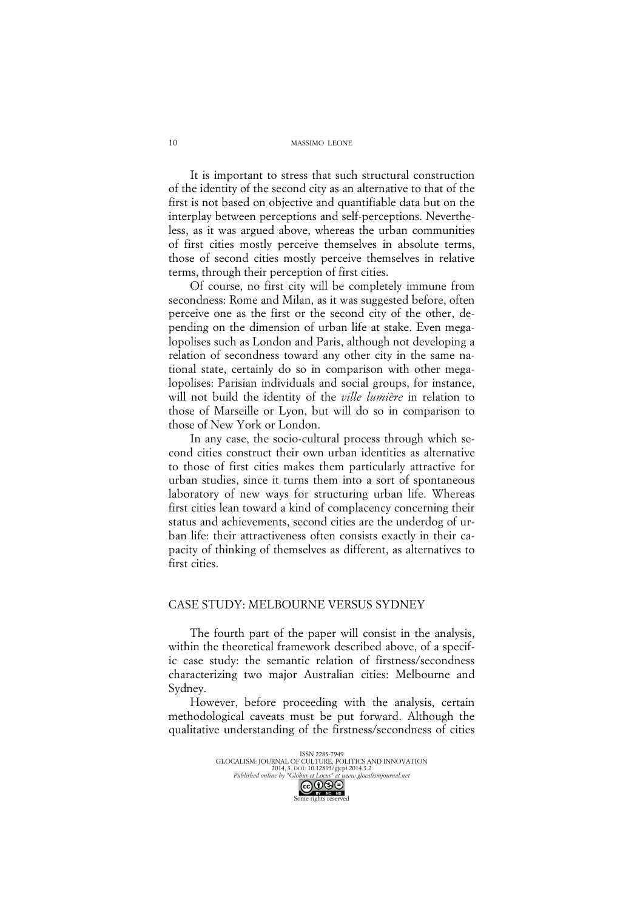#### MASSIMO LEONE

It is important to stress that such structural construction of the identity of the second city as an alternative to that of the first is not based on objective and quantifiable data but on the interplay between perceptions and self-perceptions. Nevertheless, as it was argued above, whereas the urban communities of first cities mostly perceive themselves in absolute terms, those of second cities mostly perceive themselves in relative terms, through their perception of first cities.

Of course, no first city will be completely immune from secondness: Rome and Milan, as it was suggested before, often perceive one as the first or the second city of the other, depending on the dimension of urban life at stake. Even megalopolises such as London and Paris, although not developing a relation of secondness toward any other city in the same national state, certainly do so in comparison with other megalopolises: Parisian individuals and social groups, for instance, will not build the identity of the *ville lumière* in relation to those of Marseille or Lyon, but will do so in comparison to those of New York or London.

In any case, the socio-cultural process through which second cities construct their own urban identities as alternative to those of first cities makes them particularly attractive for urban studies, since it turns them into a sort of spontaneous laboratory of new ways for structuring urban life. Whereas first cities lean toward a kind of complacency concerning their status and achievements, second cities are the underdog of urban life: their attractiveness often consists exactly in their capacity of thinking of themselves as different, as alternatives to first cities.

### CASE STUDY: MELBOURNE VERSUS SYDNEY

The fourth part of the paper will consist in the analysis, within the theoretical framework described above, of a specific case study: the semantic relation of firstness/secondness characterizing two major Australian cities: Melbourne and Sydney.

However, before proceeding with the analysis, certain methodological caveats must be put forward. Although the qualitative understanding of the firstness/secondness of cities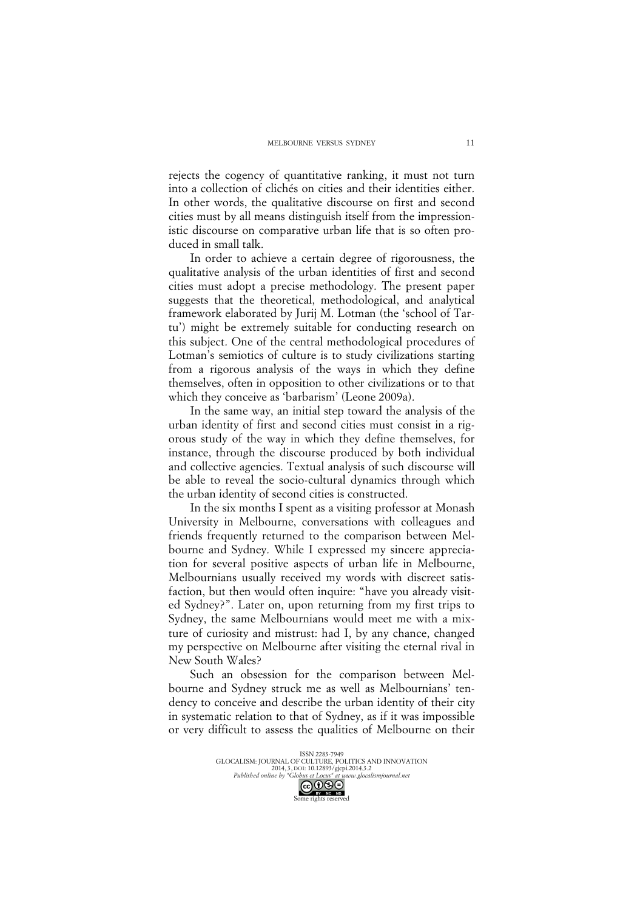rejects the cogency of quantitative ranking, it must not turn into a collection of clichés on cities and their identities either. In other words, the qualitative discourse on first and second cities must by all means distinguish itself from the impressionistic discourse on comparative urban life that is so often produced in small talk.

In order to achieve a certain degree of rigorousness, the qualitative analysis of the urban identities of first and second cities must adopt a precise methodology. The present paper suggests that the theoretical, methodological, and analytical framework elaborated by Jurij M. Lotman (the 'school of Tartu') might be extremely suitable for conducting research on this subject. One of the central methodological procedures of Lotman's semiotics of culture is to study civilizations starting from a rigorous analysis of the ways in which they define themselves, often in opposition to other civilizations or to that which they conceive as 'barbarism' (Leone 2009a).

In the same way, an initial step toward the analysis of the urban identity of first and second cities must consist in a rigorous study of the way in which they define themselves, for instance, through the discourse produced by both individual and collective agencies. Textual analysis of such discourse will be able to reveal the socio-cultural dynamics through which the urban identity of second cities is constructed.

In the six months I spent as a visiting professor at Monash University in Melbourne, conversations with colleagues and friends frequently returned to the comparison between Melbourne and Sydney. While I expressed my sincere appreciation for several positive aspects of urban life in Melbourne, Melbournians usually received my words with discreet satisfaction, but then would often inquire: "have you already visited Sydney?". Later on, upon returning from my first trips to Sydney, the same Melbournians would meet me with a mixture of curiosity and mistrust: had I, by any chance, changed my perspective on Melbourne after visiting the eternal rival in New South Wales?

Such an obsession for the comparison between Melbourne and Sydney struck me as well as Melbournians' tendency to conceive and describe the urban identity of their city in systematic relation to that of Sydney, as if it was impossible or very difficult to assess the qualities of Melbourne on their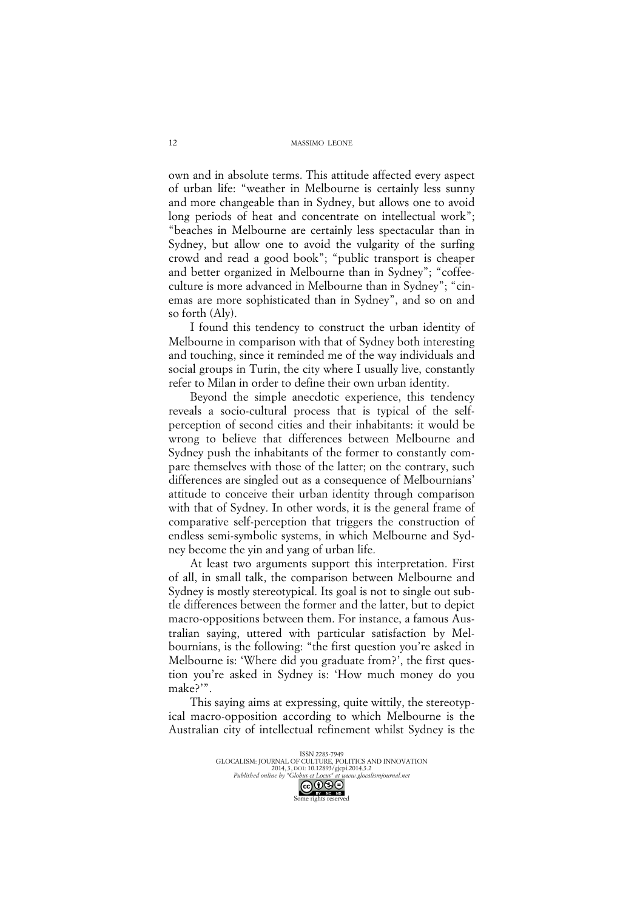MASSIMO LEONE

own and in absolute terms. This attitude affected every aspect of urban life: "weather in Melbourne is certainly less sunny and more changeable than in Sydney, but allows one to avoid long periods of heat and concentrate on intellectual work"; "beaches in Melbourne are certainly less spectacular than in Sydney, but allow one to avoid the vulgarity of the surfing crowd and read a good book"; "public transport is cheaper and better organized in Melbourne than in Sydney"; "coffeeculture is more advanced in Melbourne than in Sydney"; "cinemas are more sophisticated than in Sydney", and so on and so forth (Aly).

I found this tendency to construct the urban identity of Melbourne in comparison with that of Sydney both interesting and touching, since it reminded me of the way individuals and social groups in Turin, the city where I usually live, constantly refer to Milan in order to define their own urban identity.

Beyond the simple anecdotic experience, this tendency reveals a socio-cultural process that is typical of the selfperception of second cities and their inhabitants: it would be wrong to believe that differences between Melbourne and Sydney push the inhabitants of the former to constantly compare themselves with those of the latter; on the contrary, such differences are singled out as a consequence of Melbournians' attitude to conceive their urban identity through comparison with that of Sydney. In other words, it is the general frame of comparative self-perception that triggers the construction of endless semi-symbolic systems, in which Melbourne and Sydney become the yin and yang of urban life.

At least two arguments support this interpretation. First of all, in small talk, the comparison between Melbourne and Sydney is mostly stereotypical. Its goal is not to single out subtle differences between the former and the latter, but to depict macro-oppositions between them. For instance, a famous Australian saying, uttered with particular satisfaction by Melbournians, is the following: "the first question you're asked in Melbourne is: 'Where did you graduate from?', the first question you're asked in Sydney is: 'How much money do you make?'".

This saying aims at expressing, quite wittily, the stereotypical macro-opposition according to which Melbourne is the Australian city of intellectual refinement whilst Sydney is the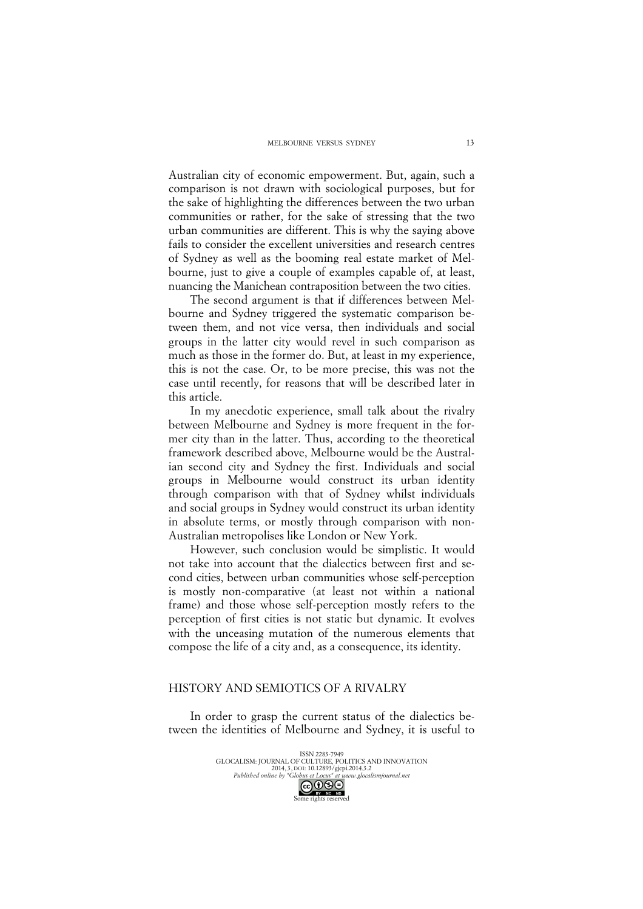Australian city of economic empowerment. But, again, such a comparison is not drawn with sociological purposes, but for the sake of highlighting the differences between the two urban communities or rather, for the sake of stressing that the two urban communities are different. This is why the saying above fails to consider the excellent universities and research centres of Sydney as well as the booming real estate market of Melbourne, just to give a couple of examples capable of, at least, nuancing the Manichean contraposition between the two cities.

The second argument is that if differences between Melbourne and Sydney triggered the systematic comparison between them, and not vice versa, then individuals and social groups in the latter city would revel in such comparison as much as those in the former do. But, at least in my experience, this is not the case. Or, to be more precise, this was not the case until recently, for reasons that will be described later in this article.

In my anecdotic experience, small talk about the rivalry between Melbourne and Sydney is more frequent in the former city than in the latter. Thus, according to the theoretical framework described above, Melbourne would be the Australian second city and Sydney the first. Individuals and social groups in Melbourne would construct its urban identity through comparison with that of Sydney whilst individuals and social groups in Sydney would construct its urban identity in absolute terms, or mostly through comparison with non-Australian metropolises like London or New York.

However, such conclusion would be simplistic. It would not take into account that the dialectics between first and second cities, between urban communities whose self-perception is mostly non-comparative (at least not within a national frame) and those whose self-perception mostly refers to the perception of first cities is not static but dynamic. It evolves with the unceasing mutation of the numerous elements that compose the life of a city and, as a consequence, its identity.

## HISTORY AND SEMIOTICS OF A RIVALRY

In order to grasp the current status of the dialectics between the identities of Melbourne and Sydney, it is useful to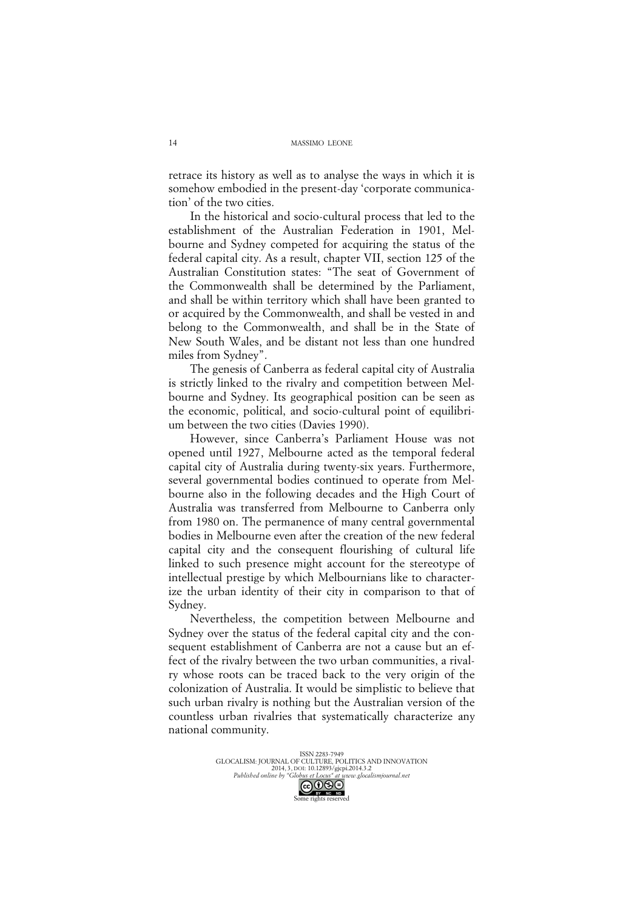retrace its history as well as to analyse the ways in which it is somehow embodied in the present-day 'corporate communication' of the two cities.

In the historical and socio-cultural process that led to the establishment of the Australian Federation in 1901, Melbourne and Sydney competed for acquiring the status of the federal capital city. As a result, chapter VII, section 125 of the Australian Constitution states: "The seat of Government of the Commonwealth shall be determined by the Parliament, and shall be within territory which shall have been granted to or acquired by the Commonwealth, and shall be vested in and belong to the Commonwealth, and shall be in the State of New South Wales, and be distant not less than one hundred miles from Sydney".

The genesis of Canberra as federal capital city of Australia is strictly linked to the rivalry and competition between Melbourne and Sydney. Its geographical position can be seen as the economic, political, and socio-cultural point of equilibrium between the two cities (Davies 1990).

However, since Canberra's Parliament House was not opened until 1927, Melbourne acted as the temporal federal capital city of Australia during twenty-six years. Furthermore, several governmental bodies continued to operate from Melbourne also in the following decades and the High Court of Australia was transferred from Melbourne to Canberra only from 1980 on. The permanence of many central governmental bodies in Melbourne even after the creation of the new federal capital city and the consequent flourishing of cultural life linked to such presence might account for the stereotype of intellectual prestige by which Melbournians like to characterize the urban identity of their city in comparison to that of Sydney.

Nevertheless, the competition between Melbourne and Sydney over the status of the federal capital city and the consequent establishment of Canberra are not a cause but an effect of the rivalry between the two urban communities, a rivalry whose roots can be traced back to the very origin of the colonization of Australia. It would be simplistic to believe that such urban rivalry is nothing but the Australian version of the countless urban rivalries that systematically characterize any national community.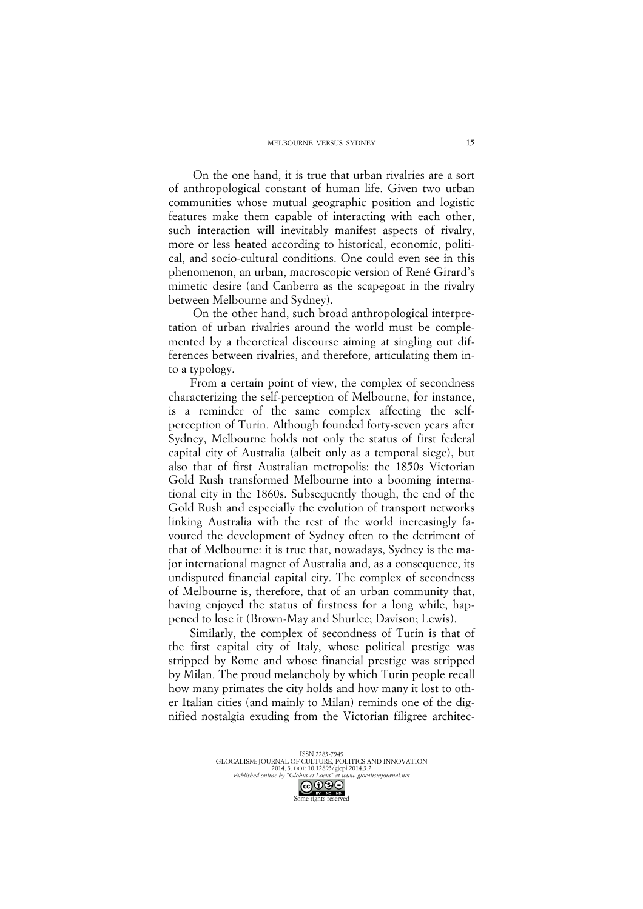On the one hand, it is true that urban rivalries are a sort of anthropological constant of human life. Given two urban communities whose mutual geographic position and logistic features make them capable of interacting with each other, such interaction will inevitably manifest aspects of rivalry, more or less heated according to historical, economic, political, and socio-cultural conditions. One could even see in this phenomenon, an urban, macroscopic version of René Girard's mimetic desire (and Canberra as the scapegoat in the rivalry between Melbourne and Sydney).

On the other hand, such broad anthropological interpretation of urban rivalries around the world must be complemented by a theoretical discourse aiming at singling out differences between rivalries, and therefore, articulating them into a typology.

From a certain point of view, the complex of secondness characterizing the self-perception of Melbourne, for instance, is a reminder of the same complex affecting the selfperception of Turin. Although founded forty-seven years after Sydney, Melbourne holds not only the status of first federal capital city of Australia (albeit only as a temporal siege), but also that of first Australian metropolis: the 1850s Victorian Gold Rush transformed Melbourne into a booming international city in the 1860s. Subsequently though, the end of the Gold Rush and especially the evolution of transport networks linking Australia with the rest of the world increasingly favoured the development of Sydney often to the detriment of that of Melbourne: it is true that, nowadays, Sydney is the major international magnet of Australia and, as a consequence, its undisputed financial capital city. The complex of secondness of Melbourne is, therefore, that of an urban community that, having enjoyed the status of firstness for a long while, happened to lose it (Brown-May and Shurlee; Davison; Lewis).

Similarly, the complex of secondness of Turin is that of the first capital city of Italy, whose political prestige was stripped by Rome and whose financial prestige was stripped by Milan. The proud melancholy by which Turin people recall how many primates the city holds and how many it lost to other Italian cities (and mainly to Milan) reminds one of the dignified nostalgia exuding from the Victorian filigree architec-

ISSN 2283-7949 GLOCALISM: JOURNAL OF CULTURE, POLITICS AND INNOVATION 2014, 3, DOI: 10.12893/gjcpi.2014.3.2<br>Published online by "Globus et Locus" at www.glocal *Published online by "Globus et Locus" at www.glocalismjournal.net*

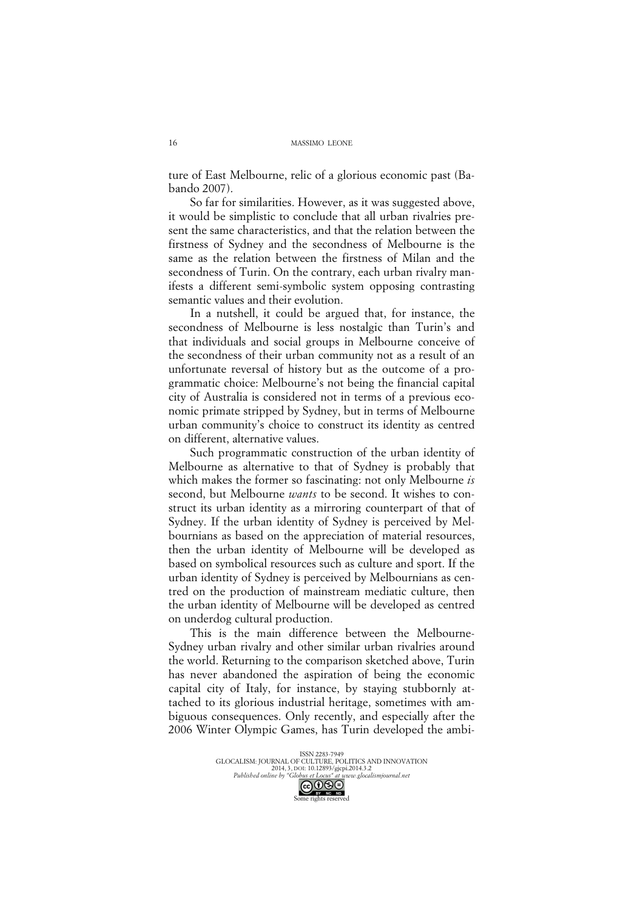ture of East Melbourne, relic of a glorious economic past (Babando 2007).

So far for similarities. However, as it was suggested above, it would be simplistic to conclude that all urban rivalries present the same characteristics, and that the relation between the firstness of Sydney and the secondness of Melbourne is the same as the relation between the firstness of Milan and the secondness of Turin. On the contrary, each urban rivalry manifests a different semi-symbolic system opposing contrasting semantic values and their evolution.

In a nutshell, it could be argued that, for instance, the secondness of Melbourne is less nostalgic than Turin's and that individuals and social groups in Melbourne conceive of the secondness of their urban community not as a result of an unfortunate reversal of history but as the outcome of a programmatic choice: Melbourne's not being the financial capital city of Australia is considered not in terms of a previous economic primate stripped by Sydney, but in terms of Melbourne urban community's choice to construct its identity as centred on different, alternative values.

Such programmatic construction of the urban identity of Melbourne as alternative to that of Sydney is probably that which makes the former so fascinating: not only Melbourne *is* second, but Melbourne *wants* to be second. It wishes to construct its urban identity as a mirroring counterpart of that of Sydney. If the urban identity of Sydney is perceived by Melbournians as based on the appreciation of material resources, then the urban identity of Melbourne will be developed as based on symbolical resources such as culture and sport. If the urban identity of Sydney is perceived by Melbournians as centred on the production of mainstream mediatic culture, then the urban identity of Melbourne will be developed as centred on underdog cultural production.

This is the main difference between the Melbourne-Sydney urban rivalry and other similar urban rivalries around the world. Returning to the comparison sketched above, Turin has never abandoned the aspiration of being the economic capital city of Italy, for instance, by staying stubbornly attached to its glorious industrial heritage, sometimes with ambiguous consequences. Only recently, and especially after the 2006 Winter Olympic Games, has Turin developed the ambi-



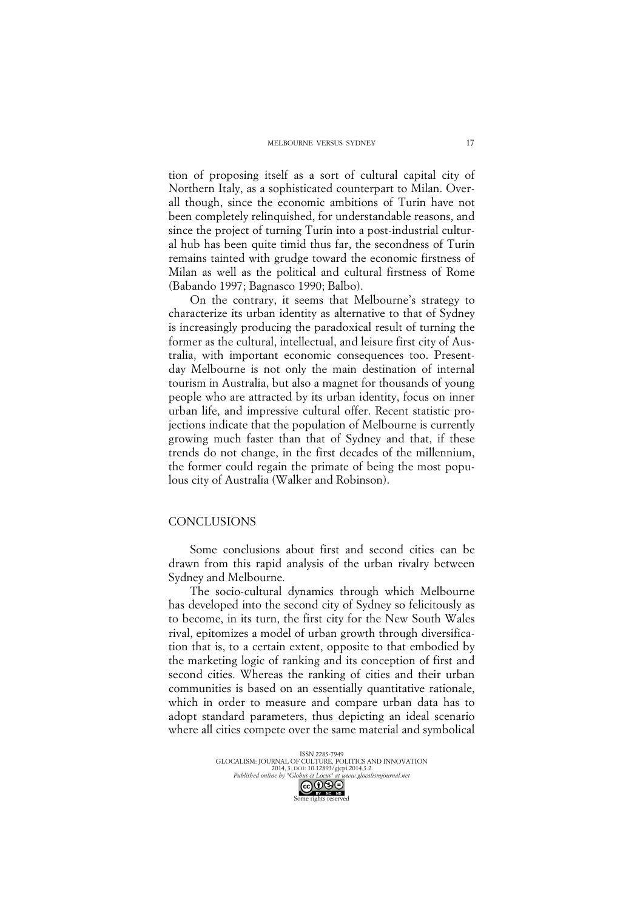tion of proposing itself as a sort of cultural capital city of Northern Italy, as a sophisticated counterpart to Milan. Overall though, since the economic ambitions of Turin have not been completely relinquished, for understandable reasons, and since the project of turning Turin into a post-industrial cultural hub has been quite timid thus far, the secondness of Turin remains tainted with grudge toward the economic firstness of Milan as well as the political and cultural firstness of Rome (Babando 1997; Bagnasco 1990; Balbo).

On the contrary, it seems that Melbourne's strategy to characterize its urban identity as alternative to that of Sydney is increasingly producing the paradoxical result of turning the former as the cultural, intellectual, and leisure first city of Australia, with important economic consequences too. Presentday Melbourne is not only the main destination of internal tourism in Australia, but also a magnet for thousands of young people who are attracted by its urban identity, focus on inner urban life, and impressive cultural offer. Recent statistic projections indicate that the population of Melbourne is currently growing much faster than that of Sydney and that, if these trends do not change, in the first decades of the millennium, the former could regain the primate of being the most populous city of Australia (Walker and Robinson).

#### CONCLUSIONS

Some conclusions about first and second cities can be drawn from this rapid analysis of the urban rivalry between Sydney and Melbourne.

The socio-cultural dynamics through which Melbourne has developed into the second city of Sydney so felicitously as to become, in its turn, the first city for the New South Wales rival, epitomizes a model of urban growth through diversification that is, to a certain extent, opposite to that embodied by the marketing logic of ranking and its conception of first and second cities. Whereas the ranking of cities and their urban communities is based on an essentially quantitative rationale, which in order to measure and compare urban data has to adopt standard parameters, thus depicting an ideal scenario where all cities compete over the same material and symbolical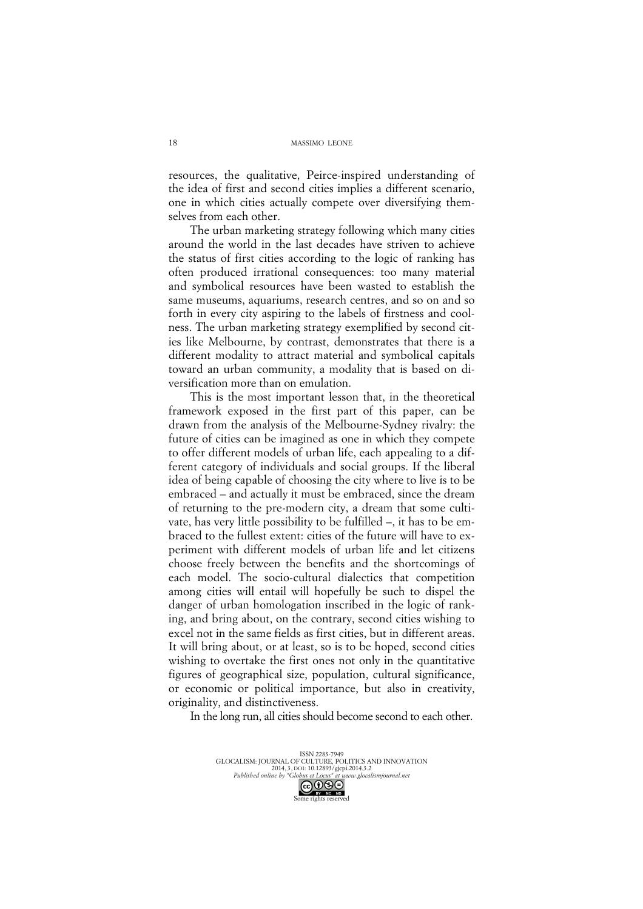resources, the qualitative, Peirce-inspired understanding of the idea of first and second cities implies a different scenario, one in which cities actually compete over diversifying themselves from each other.

The urban marketing strategy following which many cities around the world in the last decades have striven to achieve the status of first cities according to the logic of ranking has often produced irrational consequences: too many material and symbolical resources have been wasted to establish the same museums, aquariums, research centres, and so on and so forth in every city aspiring to the labels of firstness and coolness. The urban marketing strategy exemplified by second cities like Melbourne, by contrast, demonstrates that there is a different modality to attract material and symbolical capitals toward an urban community, a modality that is based on diversification more than on emulation.

This is the most important lesson that, in the theoretical framework exposed in the first part of this paper, can be drawn from the analysis of the Melbourne-Sydney rivalry: the future of cities can be imagined as one in which they compete to offer different models of urban life, each appealing to a different category of individuals and social groups. If the liberal idea of being capable of choosing the city where to live is to be embraced – and actually it must be embraced, since the dream of returning to the pre-modern city, a dream that some cultivate, has very little possibility to be fulfilled –, it has to be embraced to the fullest extent: cities of the future will have to experiment with different models of urban life and let citizens choose freely between the benefits and the shortcomings of each model. The socio-cultural dialectics that competition among cities will entail will hopefully be such to dispel the danger of urban homologation inscribed in the logic of ranking, and bring about, on the contrary, second cities wishing to excel not in the same fields as first cities, but in different areas. It will bring about, or at least, so is to be hoped, second cities wishing to overtake the first ones not only in the quantitative figures of geographical size, population, cultural significance, or economic or political importance, but also in creativity, originality, and distinctiveness.

In the long run, all cities should become second to each other.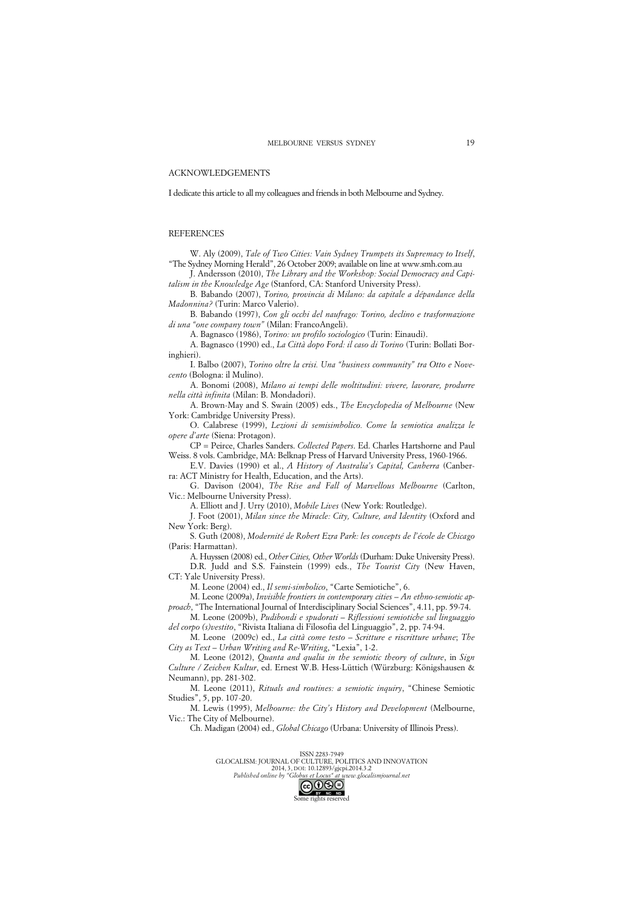#### ACKNOWLEDGEMENTS

I dedicate this article to all my colleagues and friends in both Melbourne and Sydney.

#### **REFERENCES**

W. Aly (2009), *Tale of Two Cities: Vain Sydney Trumpets its Supremacy to Itself*, "The Sydney Morning Herald", 26 October 2009; available on line at www.smh.com.au

J. Andersson (2010), *The Library and the Workshop: Social Democracy and Capitalism in the Knowledge Age* (Stanford, CA: Stanford University Press).

B. Babando (2007), *Torino, provincia di Milano: da capitale a dépandance della Madonnina?* (Turin: Marco Valerio).

B. Babando (1997), *Con gli occhi del naufrago: Torino, declino e trasformazione di una "one company town"* (Milan: FrancoAngeli).

A. Bagnasco (1986), *Torino: un profilo sociologico* (Turin: Einaudi).

A. Bagnasco (1990) ed., *La Città dopo Ford: il caso di Torino* (Turin: Bollati Boringhieri).

I. Balbo (2007), *Torino oltre la crisi. Una "business community" tra Otto e Novecento* (Bologna: il Mulino).

A. Bonomi (2008), *Milano ai tempi delle moltitudini: vivere, lavorare, produrre nella città infinita* (Milan: B. Mondadori).

A. Brown-May and S. Swain (2005) eds., *The Encyclopedia of Melbourne* (New York: Cambridge University Press).

O. Calabrese (1999), *Lezioni di semisimbolico. Come la semiotica analizza le opere d'arte* (Siena: Protagon).

CP = Peirce, Charles Sanders. *Collected Papers*. Ed. Charles Hartshorne and Paul Weiss. 8 vols. Cambridge, MA: Belknap Press of Harvard University Press, 1960-1966.

E.V. Davies (1990) et al., *A History of Australia's Capital, Canberra* (Canberra: ACT Ministry for Health, Education, and the Arts).

G. Davison (2004), *The Rise and Fall of Marvellous Melbourne* (Carlton, Vic.: Melbourne University Press).

A. Elliott and J. Urry (2010), *Mobile Lives* (New York: Routledge).

J. Foot (2001), *Milan since the Miracle: City, Culture, and Identity* (Oxford and New York: Berg).

S. Guth (2008), *Modernité de Robert Ezra Park: les concepts de l'école de Chicago* (Paris: Harmattan).

A. Huyssen (2008) ed., *Other Cities, Other Worlds* (Durham: Duke University Press). D.R. Judd and S.S. Fainstein (1999) eds., *The Tourist City* (New Haven, CT: Yale University Press).

M. Leone (2004) ed., *Il semi-simbolico*, "Carte Semiotiche", 6.

M. Leone (2009a), *Invisible frontiers in contemporary cities – An ethno-semiotic approach*, "The International Journal of Interdisciplinary Social Sciences", 4.11, pp. 59-74.

M. Leone (2009b), *Pudibondi e spudorati – Riflessioni semiotiche sul linguaggio* 

*del corpo (s)vestito*, "Rivista Italiana di Filosofia del Linguaggio", 2, pp. 74-94. M. Leone (2009c) ed., *La città come testo – Scritture e riscritture urbane*; *The City as Text – Urban Writing and Re-Writing*, "Lexia", 1-2.

M. Leone (2012), *Quanta and qualia in the semiotic theory of culture*, in *Sign Culture / Zeichen Kultur*, ed. Ernest W.B. Hess-Lüttich (Würzburg: Königshausen & Neumann), pp. 281-302.

M. Leone (2011), *Rituals and routines: a semiotic inquiry*, "Chinese Semiotic Studies", 5, pp. 107-20.

M. Lewis (1995), *Melbourne: the City's History and Development* (Melbourne, Vic.: The City of Melbourne).

Ch. Madigan (2004) ed., *Global Chicago* (Urbana: University of Illinois Press).

ISSN 2283-7949 GLOCALISM: JOURNAL OF CULTURE, POLITICS AND INNOVATION 2014, 3, DOI: 10.12893/gjcpi.2014.3.2<br>Published online by "Globus et Locus" at www.glocal *Published online by "Globus et Locus" at www.glocalismjournal.net*